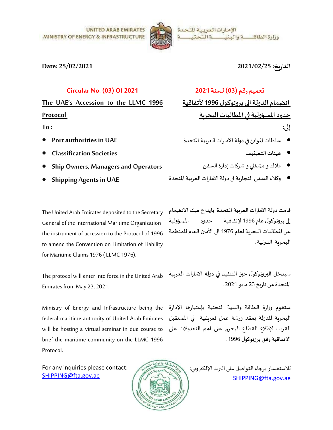



### Date: 25/02/2021

## التارʈخ: 2021/02/25

## Circular No. (03) Of 2021

The UAE's Accession to the LLMC 1996 Protocol

To :

- Port authorities in UAE
- Classification Societies
- Ship Owners, Managers and Operators
- Shipping Agents in UAE

General of the International Maritime Organization the instrument of accession to the Protocol of 1996 to amend the Convention on Limitation of Liability for Maritime Claims 1976 ( LLMC 1976).

The protocol will enter into force in the United Arab Emirates from May 23, 2021.

Ministry of Energy and Infrastructure being the federal maritime authority of United Arab Emirates will be hosting a virtual seminar in due course to brief the maritime community on the LLMC 1996 Protocol.

For any inquiries please contact: SHIPPING@fta.gov.ae

# Ȗعميم رقم (03) لسنة 2021

انضمام الدولة الى بروتوكول 1996 لأتفاقية حدود المسؤولية في المطالبات البحرية إلى:

- سلطات المواɲئ ࢭʏدولةالاماراتالعرȋيةالمتحدة
	- ɸيئات التصɴيف
	- ملاك و مشغلي و شركات إدارة السفن
- وكلاء السفن التجاربة في دولة الامارات العربية المتحدة

The United Arab Emirates deposited to the Secretary قامت دولةالامارات العرȋية المتحدة بايداع صك الانضمام إڲʄبروتوɠول عام 1996 لإتفاقية حدود المسؤولية عن المطالبات البحربة لعام 1976 الى الأمين العام للمنظمة البحرʈة الدولية.

> سيدخل البروتوكول حيز التنفيذ في دولة الامارات العربية المتحدةمن تارʈخ 23 مايو 2021 .

ستقوم وزارة الطاقة والبɴية التحتية بإعتبارɸا الإدارة البحربة للدولة بعقد ورشة عمل تعريفية في الم*س*تقبل القرىب لإطلاع القطاع البحري على اهم التعديلات على الاتفاقية وفق بروتوكول 1996 .

> للاستفسار برجاء التواصل على البريد الإلكتروني: SHIPPING@fta.gov.ae